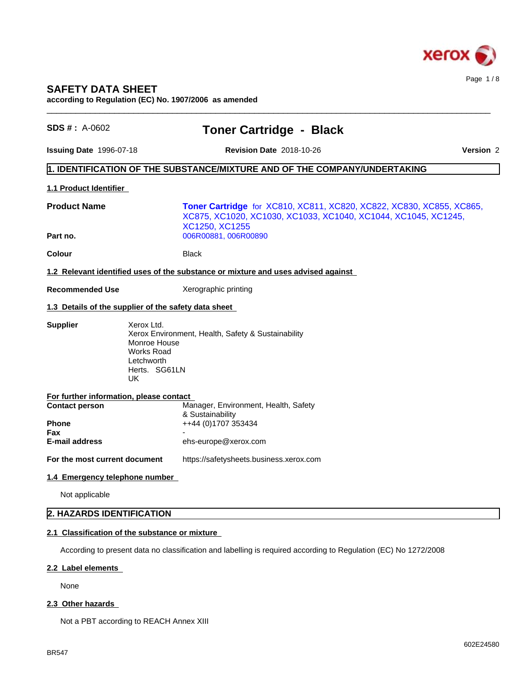

# **SAFETY DATA SHEET**

**according to Regulation (EC) No. 1907/2006 as amended**

| $SDS #: A-0602$                                                  | <b>Toner Cartridge - Black</b>                                                                                                                           |                  |  |
|------------------------------------------------------------------|----------------------------------------------------------------------------------------------------------------------------------------------------------|------------------|--|
| <b>Issuing Date 1996-07-18</b>                                   | <b>Revision Date 2018-10-26</b>                                                                                                                          | <b>Version 2</b> |  |
|                                                                  | 1. IDENTIFICATION OF THE SUBSTANCE/MIXTURE AND OF THE COMPANY/UNDERTAKING                                                                                |                  |  |
| 1.1 Product Identifier                                           |                                                                                                                                                          |                  |  |
| <b>Product Name</b>                                              | Toner Cartridge for XC810, XC811, XC820, XC822, XC830, XC855, XC865,<br>XC875, XC1020, XC1030, XC1033, XC1040, XC1044, XC1045, XC1245,<br>XC1250, XC1255 |                  |  |
| Part no.                                                         | 006R00881, 006R00890                                                                                                                                     |                  |  |
| <b>Colour</b>                                                    | <b>Black</b>                                                                                                                                             |                  |  |
|                                                                  | 1.2 Relevant identified uses of the substance or mixture and uses advised against                                                                        |                  |  |
| <b>Recommended Use</b>                                           | Xerographic printing                                                                                                                                     |                  |  |
|                                                                  | 1.3 Details of the supplier of the safety data sheet                                                                                                     |                  |  |
| <b>Supplier</b>                                                  | Xerox Ltd.<br>Xerox Environment, Health, Safety & Sustainability<br>Monroe House<br><b>Works Road</b><br>Letchworth<br>Herts. SG61LN<br>UK               |                  |  |
| For further information, please contact<br><b>Contact person</b> | Manager, Environment, Health, Safety<br>& Sustainability                                                                                                 |                  |  |
| <b>Phone</b><br>Fax                                              | ++44 (0)1707 353434                                                                                                                                      |                  |  |
| <b>E-mail address</b>                                            | ehs-europe@xerox.com                                                                                                                                     |                  |  |
| For the most current document                                    | https://safetysheets.business.xerox.com                                                                                                                  |                  |  |
| 1.4 Emergency telephone number                                   |                                                                                                                                                          |                  |  |
| Not applicable                                                   |                                                                                                                                                          |                  |  |
| 2. HAZARDS IDENTIFICATION                                        |                                                                                                                                                          |                  |  |
|                                                                  | 2.1 Classification of the substance or mixture                                                                                                           |                  |  |
|                                                                  | According to present data no classification and labelling is required according to Regulation (EC) No 1272/2008                                          |                  |  |

#### **2.2 Label elements**

None

### 2.3 Other hazards

Not a PBT according to REACH Annex XIII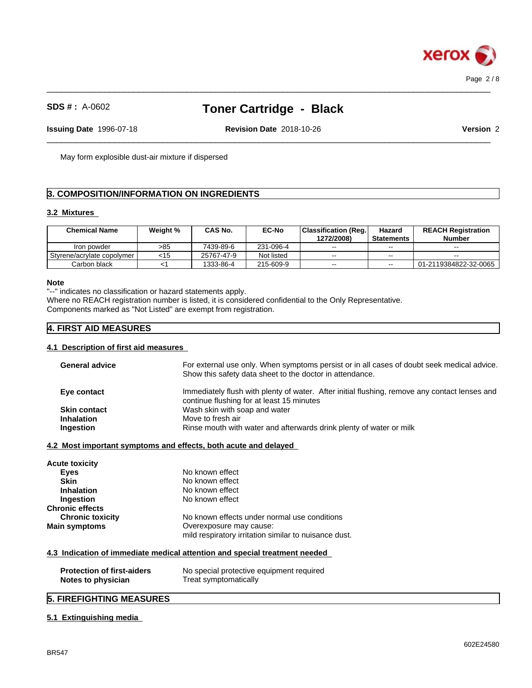

 $\_$  ,  $\_$  ,  $\_$  ,  $\_$  ,  $\_$  ,  $\_$  ,  $\_$  ,  $\_$  ,  $\_$  ,  $\_$  ,  $\_$  ,  $\_$  ,  $\_$  ,  $\_$  ,  $\_$  ,  $\_$  ,  $\_$  ,  $\_$  ,  $\_$  ,  $\_$  ,  $\_$  ,  $\_$  ,  $\_$  ,  $\_$  ,  $\_$  ,  $\_$  ,  $\_$  ,  $\_$  ,  $\_$  ,  $\_$  ,  $\_$  ,  $\_$  ,  $\_$  ,  $\_$  ,  $\_$  ,  $\_$  ,  $\_$  ,

 $\_$  ,  $\_$  ,  $\_$  ,  $\_$  ,  $\_$  ,  $\_$  ,  $\_$  ,  $\_$  ,  $\_$  ,  $\_$  ,  $\_$  ,  $\_$  ,  $\_$  ,  $\_$  ,  $\_$  ,  $\_$  ,  $\_$  ,  $\_$  ,  $\_$  ,  $\_$  ,  $\_$  ,  $\_$  ,  $\_$  ,  $\_$  ,  $\_$  ,  $\_$  ,  $\_$  ,  $\_$  ,  $\_$  ,  $\_$  ,  $\_$  ,  $\_$  ,  $\_$  ,  $\_$  ,  $\_$  ,  $\_$  ,  $\_$  ,

**Issuing Date** 1996-07-18 **Revision Date** 2018-10-26 **Version** 2

May form explosible dust-air mixture if dispersed

# **3. COMPOSITION/INFORMATION ON INGREDIENTS**

#### **3.2 Mixtures**

| <b>Chemical Name</b>       | Weiaht % | CAS No.    | <b>EC-No</b> | Classification (Reg. | Hazard            | <b>REACH Registration</b> |
|----------------------------|----------|------------|--------------|----------------------|-------------------|---------------------------|
|                            |          |            |              | 1272/2008)           | <b>Statements</b> | <b>Number</b>             |
| Iron powder                | >85      | 7439-89-6  | 231-096-4    | $-$                  | $- -$             | $- -$                     |
| Styrene/acrylate copolymer | $<$ 15   | 25767-47-9 | Not listed   | $\sim$ $\sim$        | $- -$             | $\sim$                    |
| Carbon black               |          | 1333-86-4  | 215-609-9    | $- -$                | $- -$             | 01-2119384822-32-0065     |

### **Note**

"--" indicates no classification or hazard statements apply.

Where no REACH registration number is listed, it is considered confidential to the Only Representative. Components marked as "Not Listed" are exempt from registration.

# **4. FIRST AID MEASURES**

#### **4.1 Description of first aid measures**

| <b>General advice</b><br>Show this safety data sheet to the doctor in attendance.<br>Eye contact<br>continue flushing for at least 15 minutes<br>Wash skin with soap and water<br><b>Skin contact</b><br>Move to fresh air<br><b>Inhalation</b><br>Rinse mouth with water and afterwards drink plenty of water or milk<br>Ingestion<br>4.2 Most important symptoms and effects, both acute and delayed<br>Acute toxicity<br>No known effect<br><b>Eyes</b><br>No known effect<br><b>Skin</b><br>No known effect<br><b>Inhalation</b><br>No known effect<br>Ingestion<br><b>Chronic effects</b><br>No known effects under normal use conditions<br><b>Chronic toxicity</b><br>Overexposure may cause:<br>Main symptoms<br>mild respiratory irritation similar to nuisance dust.<br>4.3 Indication of immediate medical attention and special treatment needed<br><b>Protection of first-aiders</b><br>No special protective equipment required |                    |                                                                                               |
|-----------------------------------------------------------------------------------------------------------------------------------------------------------------------------------------------------------------------------------------------------------------------------------------------------------------------------------------------------------------------------------------------------------------------------------------------------------------------------------------------------------------------------------------------------------------------------------------------------------------------------------------------------------------------------------------------------------------------------------------------------------------------------------------------------------------------------------------------------------------------------------------------------------------------------------------------|--------------------|-----------------------------------------------------------------------------------------------|
|                                                                                                                                                                                                                                                                                                                                                                                                                                                                                                                                                                                                                                                                                                                                                                                                                                                                                                                                               |                    | For external use only. When symptoms persist or in all cases of doubt seek medical advice.    |
|                                                                                                                                                                                                                                                                                                                                                                                                                                                                                                                                                                                                                                                                                                                                                                                                                                                                                                                                               |                    | Immediately flush with plenty of water. After initial flushing, remove any contact lenses and |
|                                                                                                                                                                                                                                                                                                                                                                                                                                                                                                                                                                                                                                                                                                                                                                                                                                                                                                                                               |                    |                                                                                               |
|                                                                                                                                                                                                                                                                                                                                                                                                                                                                                                                                                                                                                                                                                                                                                                                                                                                                                                                                               |                    |                                                                                               |
|                                                                                                                                                                                                                                                                                                                                                                                                                                                                                                                                                                                                                                                                                                                                                                                                                                                                                                                                               |                    |                                                                                               |
|                                                                                                                                                                                                                                                                                                                                                                                                                                                                                                                                                                                                                                                                                                                                                                                                                                                                                                                                               |                    |                                                                                               |
|                                                                                                                                                                                                                                                                                                                                                                                                                                                                                                                                                                                                                                                                                                                                                                                                                                                                                                                                               |                    |                                                                                               |
|                                                                                                                                                                                                                                                                                                                                                                                                                                                                                                                                                                                                                                                                                                                                                                                                                                                                                                                                               |                    |                                                                                               |
|                                                                                                                                                                                                                                                                                                                                                                                                                                                                                                                                                                                                                                                                                                                                                                                                                                                                                                                                               |                    |                                                                                               |
|                                                                                                                                                                                                                                                                                                                                                                                                                                                                                                                                                                                                                                                                                                                                                                                                                                                                                                                                               |                    |                                                                                               |
|                                                                                                                                                                                                                                                                                                                                                                                                                                                                                                                                                                                                                                                                                                                                                                                                                                                                                                                                               |                    |                                                                                               |
|                                                                                                                                                                                                                                                                                                                                                                                                                                                                                                                                                                                                                                                                                                                                                                                                                                                                                                                                               |                    |                                                                                               |
|                                                                                                                                                                                                                                                                                                                                                                                                                                                                                                                                                                                                                                                                                                                                                                                                                                                                                                                                               |                    |                                                                                               |
|                                                                                                                                                                                                                                                                                                                                                                                                                                                                                                                                                                                                                                                                                                                                                                                                                                                                                                                                               |                    |                                                                                               |
|                                                                                                                                                                                                                                                                                                                                                                                                                                                                                                                                                                                                                                                                                                                                                                                                                                                                                                                                               |                    |                                                                                               |
|                                                                                                                                                                                                                                                                                                                                                                                                                                                                                                                                                                                                                                                                                                                                                                                                                                                                                                                                               |                    |                                                                                               |
|                                                                                                                                                                                                                                                                                                                                                                                                                                                                                                                                                                                                                                                                                                                                                                                                                                                                                                                                               |                    |                                                                                               |
|                                                                                                                                                                                                                                                                                                                                                                                                                                                                                                                                                                                                                                                                                                                                                                                                                                                                                                                                               | Notes to physician | Treat symptomatically                                                                         |
| <b>5. FIREFIGHTING MEASURES</b>                                                                                                                                                                                                                                                                                                                                                                                                                                                                                                                                                                                                                                                                                                                                                                                                                                                                                                               |                    |                                                                                               |

#### **5.1 Extinguishing media**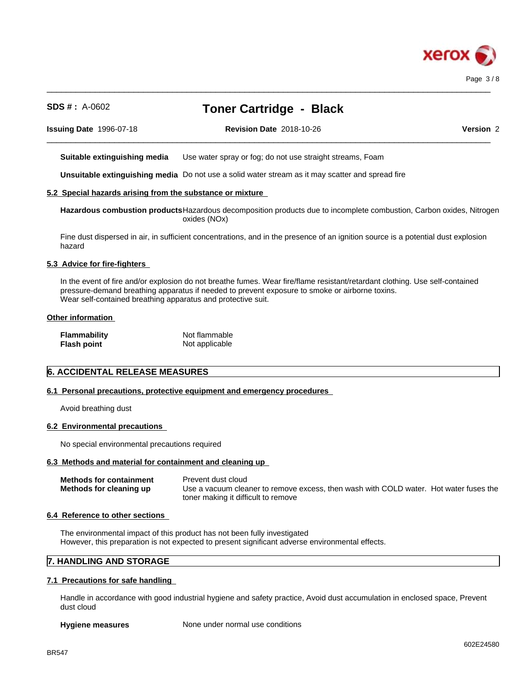

 $\_$  ,  $\_$  ,  $\_$  ,  $\_$  ,  $\_$  ,  $\_$  ,  $\_$  ,  $\_$  ,  $\_$  ,  $\_$  ,  $\_$  ,  $\_$  ,  $\_$  ,  $\_$  ,  $\_$  ,  $\_$  ,  $\_$  ,  $\_$  ,  $\_$  ,  $\_$  ,  $\_$  ,  $\_$  ,  $\_$  ,  $\_$  ,  $\_$  ,  $\_$  ,  $\_$  ,  $\_$  ,  $\_$  ,  $\_$  ,  $\_$  ,  $\_$  ,  $\_$  ,  $\_$  ,  $\_$  ,  $\_$  ,  $\_$  ,

 $\_$  ,  $\_$  ,  $\_$  ,  $\_$  ,  $\_$  ,  $\_$  ,  $\_$  ,  $\_$  ,  $\_$  ,  $\_$  ,  $\_$  ,  $\_$  ,  $\_$  ,  $\_$  ,  $\_$  ,  $\_$  ,  $\_$  ,  $\_$  ,  $\_$  ,  $\_$  ,  $\_$  ,  $\_$  ,  $\_$  ,  $\_$  ,  $\_$  ,  $\_$  ,  $\_$  ,  $\_$  ,  $\_$  ,  $\_$  ,  $\_$  ,  $\_$  ,  $\_$  ,  $\_$  ,  $\_$  ,  $\_$  ,  $\_$  ,

**Issuing Date** 1996-07-18 **Revision Date** 2018-10-26 **Version** 2

**Suitable extinguishing media** Use water spray or fog; do not use straight streams, Foam

**Unsuitable extinguishing media** Do not use a solid water stream as it may scatterand spread fire

#### **5.2 Special hazards arising from the substance or mixture**

**Hazardous combustion products**Hazardous decomposition products due to incomplete combustion, Carbon oxides, Nitrogen oxides (NOx)

Fine dust dispersed in air, in sufficient concentrations, and in the presence of an ignition source is a potential dust explosion hazard

#### **5.3 Advice for fire-fighters**

In the event of fire and/or explosion do not breathe fumes. Wear fire/flame resistant/retardant clothing. Use self-contained pressure-demand breathing apparatus if needed to prevent exposure to smoke or airborne toxins. Wear self-contained breathing apparatus and protective suit.

#### **Other information**

| <b>Flammability</b> | Not flammable  |
|---------------------|----------------|
| <b>Flash point</b>  | Not applicable |

# **6. ACCIDENTAL RELEASE MEASURES**

#### **6.1 Personal precautions, protective equipment and emergency procedures**

Avoid breathing dust

#### **6.2 Environmental precautions**

No special environmental precautions required

#### **6.3 Methods and material for containment and cleaning up**

| <b>Methods for containment</b> | Prevent dust cloud                                                                    |
|--------------------------------|---------------------------------------------------------------------------------------|
| Methods for cleaning up        | Use a vacuum cleaner to remove excess, then wash with COLD water. Hot water fuses the |
|                                | toner making it difficult to remove                                                   |

#### **6.4 Reference to other sections**

The environmental impact of this product has not been fully investigated However, this preparation is not expected to present significant adverse environmental effects.

### **7. HANDLING AND STORAGE**

#### **7.1 Precautions for safe handling**

Handle in accordance with good industrial hygiene and safety practice, Avoid dust accumulation in enclosed space, Prevent dust cloud

**Hygiene measures** None under normal use conditions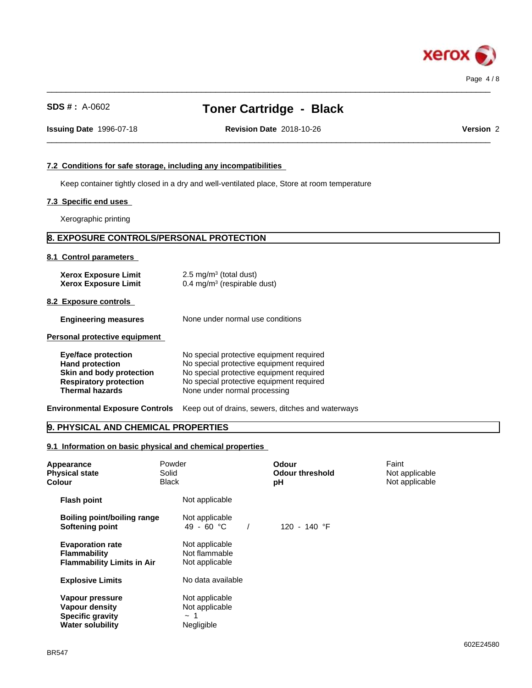

 $\_$  ,  $\_$  ,  $\_$  ,  $\_$  ,  $\_$  ,  $\_$  ,  $\_$  ,  $\_$  ,  $\_$  ,  $\_$  ,  $\_$  ,  $\_$  ,  $\_$  ,  $\_$  ,  $\_$  ,  $\_$  ,  $\_$  ,  $\_$  ,  $\_$  ,  $\_$  ,  $\_$  ,  $\_$  ,  $\_$  ,  $\_$  ,  $\_$  ,  $\_$  ,  $\_$  ,  $\_$  ,  $\_$  ,  $\_$  ,  $\_$  ,  $\_$  ,  $\_$  ,  $\_$  ,  $\_$  ,  $\_$  ,  $\_$  ,

 $\_$  ,  $\_$  ,  $\_$  ,  $\_$  ,  $\_$  ,  $\_$  ,  $\_$  ,  $\_$  ,  $\_$  ,  $\_$  ,  $\_$  ,  $\_$  ,  $\_$  ,  $\_$  ,  $\_$  ,  $\_$  ,  $\_$  ,  $\_$  ,  $\_$  ,  $\_$  ,  $\_$  ,  $\_$  ,  $\_$  ,  $\_$  ,  $\_$  ,  $\_$  ,  $\_$  ,  $\_$  ,  $\_$  ,  $\_$  ,  $\_$  ,  $\_$  ,  $\_$  ,  $\_$  ,  $\_$  ,  $\_$  ,  $\_$  , **Issuing Date** 1996-07-18 **Revision Date** 2018-10-26 **Version** 2

# **7.2 Conditions for safe storage, including any incompatibilities**

Keep container tightly closed in a dry and well-ventilated place, Store at room temperature

### **7.3 Specific end uses**

Xerographic printing

# **8. EXPOSURE CONTROLS/PERSONAL PROTECTION**

#### **8.1 Control parameters**

| <b>Xerox Exposure Limit</b> | $2.5 \text{ mg/m}^3$ (total dust)      |
|-----------------------------|----------------------------------------|
| <b>Xerox Exposure Limit</b> | $0.4 \text{ mg/m}^3$ (respirable dust) |

**8.2 Exposure controls**

**Engineering measures** None under normal use conditions

**Personal protective equipment**

| Eye/face protection           | No special protective equipment required |
|-------------------------------|------------------------------------------|
| <b>Hand protection</b>        | No special protective equipment required |
| Skin and body protection      | No special protective equipment required |
| <b>Respiratory protection</b> | No special protective equipment required |
| <b>Thermal hazards</b>        | None under normal processing             |

**Environmental Exposure Controls** Keep out of drains, sewers, ditches and waterways

# **9. PHYSICAL AND CHEMICAL PROPERTIES**

**9.1 Information on basic physical and chemical properties**

| Appearance<br><b>Physical state</b><br>Colour                                           | Powder<br>Solid<br><b>Black</b>                            | Odour<br><b>Odour threshold</b><br>рH | Faint<br>Not applicable<br>Not applicable |
|-----------------------------------------------------------------------------------------|------------------------------------------------------------|---------------------------------------|-------------------------------------------|
| <b>Flash point</b>                                                                      | Not applicable                                             |                                       |                                           |
| Boiling point/boiling range<br>Softening point                                          | Not applicable<br>49 - 60 $^{\circ}$ C                     | 120 - 140 °F                          |                                           |
| <b>Evaporation rate</b><br><b>Flammability</b><br><b>Flammability Limits in Air</b>     | Not applicable<br>Not flammable<br>Not applicable          |                                       |                                           |
| <b>Explosive Limits</b>                                                                 | No data available                                          |                                       |                                           |
| Vapour pressure<br>Vapour density<br><b>Specific gravity</b><br><b>Water solubility</b> | Not applicable<br>Not applicable<br>$\sim$ 1<br>Negligible |                                       |                                           |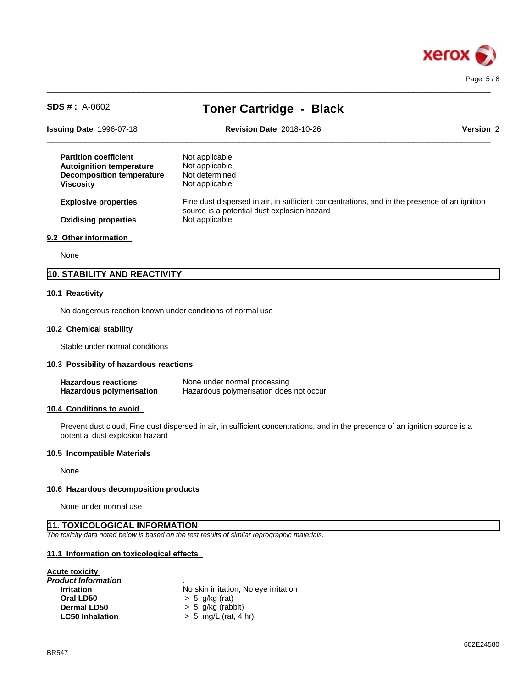

Page 5 / 8

| $SDS # : A-0602$                                                                                                        | <b>Toner Cartridge - Black</b>                                                                                                              |           |
|-------------------------------------------------------------------------------------------------------------------------|---------------------------------------------------------------------------------------------------------------------------------------------|-----------|
| <b>Issuing Date 1996-07-18</b>                                                                                          | <b>Revision Date 2018-10-26</b>                                                                                                             | Version 2 |
| <b>Partition coefficient</b><br><b>Autoignition temperature</b><br><b>Decomposition temperature</b><br><b>Viscosity</b> | Not applicable<br>Not applicable<br>Not determined<br>Not applicable                                                                        |           |
| <b>Explosive properties</b>                                                                                             | Fine dust dispersed in air, in sufficient concentrations, and in the presence of an ignition<br>source is a potential dust explosion hazard |           |
| <b>Oxidising properties</b>                                                                                             | Not applicable                                                                                                                              |           |
| 9.2 Other information                                                                                                   |                                                                                                                                             |           |
| None                                                                                                                    |                                                                                                                                             |           |

 $\_$  ,  $\_$  ,  $\_$  ,  $\_$  ,  $\_$  ,  $\_$  ,  $\_$  ,  $\_$  ,  $\_$  ,  $\_$  ,  $\_$  ,  $\_$  ,  $\_$  ,  $\_$  ,  $\_$  ,  $\_$  ,  $\_$  ,  $\_$  ,  $\_$  ,  $\_$  ,  $\_$  ,  $\_$  ,  $\_$  ,  $\_$  ,  $\_$  ,  $\_$  ,  $\_$  ,  $\_$  ,  $\_$  ,  $\_$  ,  $\_$  ,  $\_$  ,  $\_$  ,  $\_$  ,  $\_$  ,  $\_$  ,  $\_$  ,

# **10. STABILITY AND REACTIVITY**

#### **10.1 Reactivity**

No dangerous reaction known under conditions of normal use

#### **10.2 Chemical stability**

Stable under normal conditions

#### **10.3 Possibility of hazardous reactions**

| <b>Hazardous reactions</b> | None under normal processing            |
|----------------------------|-----------------------------------------|
| Hazardous polymerisation   | Hazardous polymerisation does not occur |

#### **10.4 Conditions to avoid**

Prevent dust cloud, Fine dust dispersed in air, in sufficient concentrations, and in the presence of an ignition source is a potential dust explosion hazard

#### **10.5 Incompatible Materials**

None

#### **10.6 Hazardous decomposition products**

None under normal use

#### **11. TOXICOLOGICAL INFORMATION**

*The toxicity data noted below is based on the test results of similar reprographic materials.*

#### **11.1 Information on toxicologicaleffects**

# **Acute toxicity**

| No skin irritation, No eye irritation |
|---------------------------------------|
| $> 5$ g/kg (rat)                      |
| $> 5$ g/kg (rabbit)                   |
| $> 5$ mg/L (rat, 4 hr)                |
|                                       |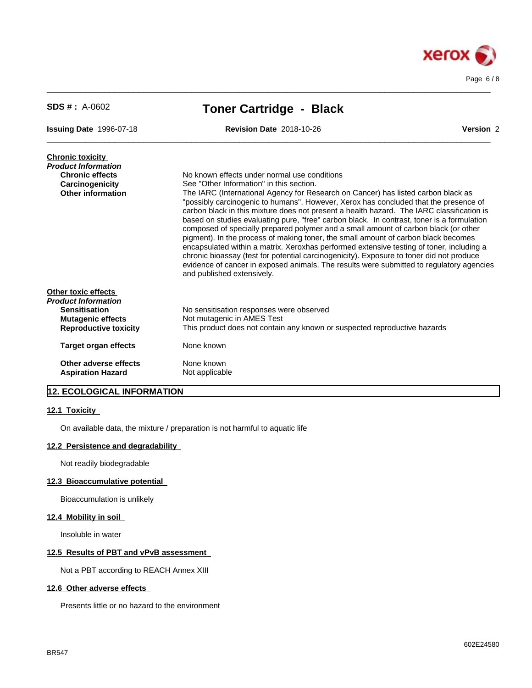

| $SDS # : A-0602$                                                                                                               | <b>Toner Cartridge - Black</b>                                                                                                                                                                                                                                                                                                                                                                                                                                                                                                                                                                                                                                                                                                                                                                                                                                                                                                    |
|--------------------------------------------------------------------------------------------------------------------------------|-----------------------------------------------------------------------------------------------------------------------------------------------------------------------------------------------------------------------------------------------------------------------------------------------------------------------------------------------------------------------------------------------------------------------------------------------------------------------------------------------------------------------------------------------------------------------------------------------------------------------------------------------------------------------------------------------------------------------------------------------------------------------------------------------------------------------------------------------------------------------------------------------------------------------------------|
| <b>Issuing Date 1996-07-18</b>                                                                                                 | <b>Revision Date 2018-10-26</b><br>Version 2                                                                                                                                                                                                                                                                                                                                                                                                                                                                                                                                                                                                                                                                                                                                                                                                                                                                                      |
| <b>Chronic toxicity</b><br><b>Product Information</b><br><b>Chronic effects</b><br>Carcinogenicity<br><b>Other information</b> | No known effects under normal use conditions<br>See "Other Information" in this section.<br>The IARC (International Agency for Research on Cancer) has listed carbon black as<br>"possibly carcinogenic to humans". However, Xerox has concluded that the presence of<br>carbon black in this mixture does not present a health hazard. The IARC classification is<br>based on studies evaluating pure, "free" carbon black. In contrast, toner is a formulation<br>composed of specially prepared polymer and a small amount of carbon black (or other<br>pigment). In the process of making toner, the small amount of carbon black becomes<br>encapsulated within a matrix. Xeroxhas performed extensive testing of toner, including a<br>chronic bioassay (test for potential carcinogenicity). Exposure to toner did not produce<br>evidence of cancer in exposed animals. The results were submitted to regulatory agencies |
| Other toxic effects<br>Product Information<br><b>Sensitisation</b><br><b>Mutagenic effects</b><br><b>Reproductive toxicity</b> | and published extensively.<br>No sensitisation responses were observed<br>Not mutagenic in AMES Test<br>This product does not contain any known or suspected reproductive hazards                                                                                                                                                                                                                                                                                                                                                                                                                                                                                                                                                                                                                                                                                                                                                 |
| <b>Target organ effects</b>                                                                                                    | None known                                                                                                                                                                                                                                                                                                                                                                                                                                                                                                                                                                                                                                                                                                                                                                                                                                                                                                                        |
| Other adverse effects<br><b>Aspiration Hazard</b>                                                                              | None known<br>Not applicable                                                                                                                                                                                                                                                                                                                                                                                                                                                                                                                                                                                                                                                                                                                                                                                                                                                                                                      |

 $\_$  ,  $\_$  ,  $\_$  ,  $\_$  ,  $\_$  ,  $\_$  ,  $\_$  ,  $\_$  ,  $\_$  ,  $\_$  ,  $\_$  ,  $\_$  ,  $\_$  ,  $\_$  ,  $\_$  ,  $\_$  ,  $\_$  ,  $\_$  ,  $\_$  ,  $\_$  ,  $\_$  ,  $\_$  ,  $\_$  ,  $\_$  ,  $\_$  ,  $\_$  ,  $\_$  ,  $\_$  ,  $\_$  ,  $\_$  ,  $\_$  ,  $\_$  ,  $\_$  ,  $\_$  ,  $\_$  ,  $\_$  ,  $\_$  ,

# **12. ECOLOGICAL INFORMATION**

#### **12.1 Toxicity**

On available data, the mixture / preparation is not harmful to aquatic life

#### **12.2 Persistence and degradability**

Not readily biodegradable

#### **12.3 Bioaccumulative potential**

Bioaccumulation is unlikely

### **12.4 Mobility in soil**

Insoluble in water

#### **12.5 Results of PBT and vPvB assessment**

Not a PBT according to REACH Annex XIII

# **12.6 Other adverse effects**

Presents little or no hazard to the environment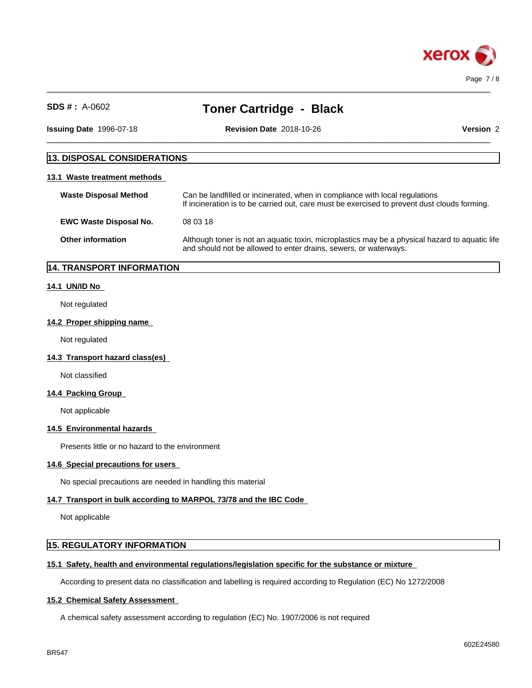

 $\_$  ,  $\_$  ,  $\_$  ,  $\_$  ,  $\_$  ,  $\_$  ,  $\_$  ,  $\_$  ,  $\_$  ,  $\_$  ,  $\_$  ,  $\_$  ,  $\_$  ,  $\_$  ,  $\_$  ,  $\_$  ,  $\_$  ,  $\_$  ,  $\_$  ,  $\_$  ,  $\_$  ,  $\_$  ,  $\_$  ,  $\_$  ,  $\_$  ,  $\_$  ,  $\_$  ,  $\_$  ,  $\_$  ,  $\_$  ,  $\_$  ,  $\_$  ,  $\_$  ,  $\_$  ,  $\_$  ,  $\_$  ,  $\_$  ,

 $\_$  ,  $\_$  ,  $\_$  ,  $\_$  ,  $\_$  ,  $\_$  ,  $\_$  ,  $\_$  ,  $\_$  ,  $\_$  ,  $\_$  ,  $\_$  ,  $\_$  ,  $\_$  ,  $\_$  ,  $\_$  ,  $\_$  ,  $\_$  ,  $\_$  ,  $\_$  ,  $\_$  ,  $\_$  ,  $\_$  ,  $\_$  ,  $\_$  ,  $\_$  ,  $\_$  ,  $\_$  ,  $\_$  ,  $\_$  ,  $\_$  ,  $\_$  ,  $\_$  ,  $\_$  ,  $\_$  ,  $\_$  ,  $\_$  ,

**Issuing Date** 1996-07-18 **Revision Date** 2018-10-26 **Version** 2

# **13. DISPOSAL CONSIDERATIONS 13.1 Waste treatment methods Waste Disposal Method** Can be landfilled or incinerated, when in compliance with local regulations If incineration is to be carried out, care must be exercised to prevent dust clouds forming. **EWC Waste Disposal No.** 08 03 18

**Other information** Although toner is not an aquatic toxin, microplastics may be a physical hazard to aquatic life and should not be allowed to enter drains, sewers, or waterways.

# **14. TRANSPORT INFORMATION**

#### **14.1 UN/ID No**

Not regulated

#### **14.2 Proper shipping name**

Not regulated

**14.3 Transport hazard class(es)**

Not classified

#### **14.4 Packing Group**

Not applicable

#### **14.5 Environmental hazards**

Presents little or no hazard to the environment

#### **14.6 Special precautions for users**

No special precautions are needed in handling this material

#### **14.7 Transport in bulk according to MARPOL 73/78 and the IBC Code**

Not applicable

# **15. REGULATORY INFORMATION**

#### **15.1 Safety, health and environmental regulations/legislation specific for the substance or mixture**

According to present data no classification and labelling is required according to Regulation (EC) No 1272/2008

#### **15.2 Chemical Safety Assessment**

A chemical safety assessment according to regulation (EC) No. 1907/2006 isnot required